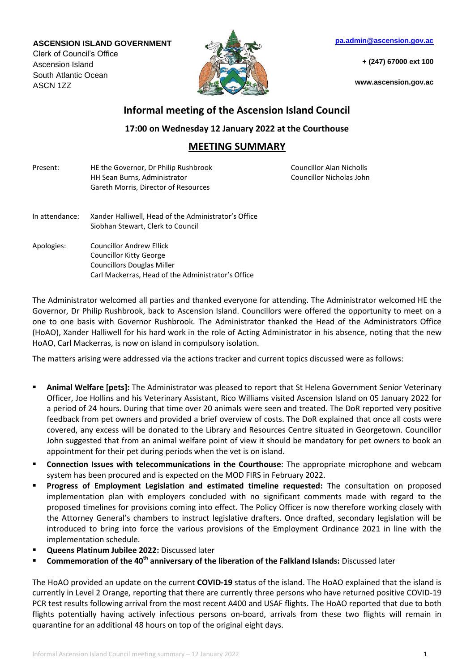## **ASCENSION ISLAND GOVERNMENT**

Clerk of Council's Office Ascension Island South Atlantic Ocean ASCN 1ZZ



**[pa.admin@ascension.gov.ac](mailto:pa.admin@ascension.gov.ac)**

**+ (247) 67000 ext 100**

**www.ascension.gov.ac**

## **Informal meeting of the Ascension Island Council**

**17:00 on Wednesday 12 January 2022 at the Courthouse**

## **MEETING SUMMARY**

| Present:       | HE the Governor, Dr Philip Rushbrook<br>HH Sean Burns, Administrator<br>Gareth Morris, Director of Resources                                                 | Councillor Alan Nicholls<br>Councillor Nicholas John |
|----------------|--------------------------------------------------------------------------------------------------------------------------------------------------------------|------------------------------------------------------|
| In attendance: | Xander Halliwell, Head of the Administrator's Office<br>Siobhan Stewart, Clerk to Council                                                                    |                                                      |
| Apologies:     | <b>Councillor Andrew Ellick</b><br><b>Councillor Kitty George</b><br><b>Councillors Douglas Miller</b><br>Carl Mackerras, Head of the Administrator's Office |                                                      |

The Administrator welcomed all parties and thanked everyone for attending. The Administrator welcomed HE the Governor, Dr Philip Rushbrook, back to Ascension Island. Councillors were offered the opportunity to meet on a one to one basis with Governor Rushbrook. The Administrator thanked the Head of the Administrators Office (HoAO), Xander Halliwell for his hard work in the role of Acting Administrator in his absence, noting that the new HoAO, Carl Mackerras, is now on island in compulsory isolation.

The matters arising were addressed via the actions tracker and current topics discussed were as follows:

- **Animal Welfare [pets]:** The Administrator was pleased to report that St Helena Government Senior Veterinary Officer, Joe Hollins and his Veterinary Assistant, Rico Williams visited Ascension Island on 05 January 2022 for a period of 24 hours. During that time over 20 animals were seen and treated. The DoR reported very positive feedback from pet owners and provided a brief overview of costs. The DoR explained that once all costs were covered, any excess will be donated to the Library and Resources Centre situated in Georgetown. Councillor John suggested that from an animal welfare point of view it should be mandatory for pet owners to book an appointment for their pet during periods when the vet is on island.
- **Connection Issues with telecommunications in the Courthouse**: The appropriate microphone and webcam system has been procured and is expected on the MOD FIRS in February 2022.
- **Progress of Employment Legislation and estimated timeline requested:** The consultation on proposed implementation plan with employers concluded with no significant comments made with regard to the proposed timelines for provisions coming into effect. The Policy Officer is now therefore working closely with the Attorney General's chambers to instruct legislative drafters. Once drafted, secondary legislation will be introduced to bring into force the various provisions of the Employment Ordinance 2021 in line with the implementation schedule.
- **Queens Platinum Jubilee 2022:** Discussed later
- **Commemoration of the 40th anniversary of the liberation of the Falkland Islands:** Discussed later

The HoAO provided an update on the current **COVID-19** status of the island. The HoAO explained that the island is currently in Level 2 Orange, reporting that there are currently three persons who have returned positive COVID-19 PCR test results following arrival from the most recent A400 and USAF flights. The HoAO reported that due to both flights potentially having actively infectious persons on-board, arrivals from these two flights will remain in quarantine for an additional 48 hours on top of the original eight days.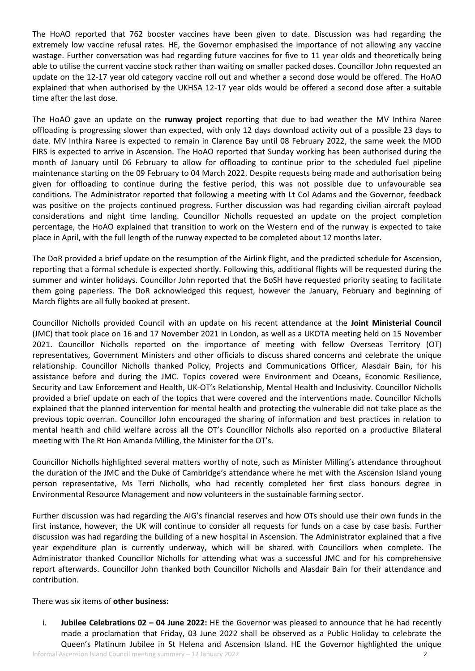The HoAO reported that 762 booster vaccines have been given to date. Discussion was had regarding the extremely low vaccine refusal rates. HE, the Governor emphasised the importance of not allowing any vaccine wastage. Further conversation was had regarding future vaccines for five to 11 year olds and theoretically being able to utilise the current vaccine stock rather than waiting on smaller packed doses. Councillor John requested an update on the 12-17 year old category vaccine roll out and whether a second dose would be offered. The HoAO explained that when authorised by the UKHSA 12-17 year olds would be offered a second dose after a suitable time after the last dose.

The HoAO gave an update on the **runway project** reporting that due to bad weather the MV Inthira Naree offloading is progressing slower than expected, with only 12 days download activity out of a possible 23 days to date. MV Inthira Naree is expected to remain in Clarence Bay until 08 February 2022, the same week the MOD FIRS is expected to arrive in Ascension. The HoAO reported that Sunday working has been authorised during the month of January until 06 February to allow for offloading to continue prior to the scheduled fuel pipeline maintenance starting on the 09 February to 04 March 2022. Despite requests being made and authorisation being given for offloading to continue during the festive period, this was not possible due to unfavourable sea conditions. The Administrator reported that following a meeting with Lt Col Adams and the Governor, feedback was positive on the projects continued progress. Further discussion was had regarding civilian aircraft payload considerations and night time landing. Councillor Nicholls requested an update on the project completion percentage, the HoAO explained that transition to work on the Western end of the runway is expected to take place in April, with the full length of the runway expected to be completed about 12 months later.

The DoR provided a brief update on the resumption of the Airlink flight, and the predicted schedule for Ascension, reporting that a formal schedule is expected shortly. Following this, additional flights will be requested during the summer and winter holidays. Councillor John reported that the BoSH have requested priority seating to facilitate them going paperless. The DoR acknowledged this request, however the January, February and beginning of March flights are all fully booked at present.

Councillor Nicholls provided Council with an update on his recent attendance at the **Joint Ministerial Council** (JMC) that took place on 16 and 17 November 2021 in London, as well as a UKOTA meeting held on 15 November 2021. Councillor Nicholls reported on the importance of meeting with fellow Overseas Territory (OT) representatives, Government Ministers and other officials to discuss shared concerns and celebrate the unique relationship. Councillor Nicholls thanked Policy, Projects and Communications Officer, Alasdair Bain, for his assistance before and during the JMC. Topics covered were Environment and Oceans, Economic Resilience, Security and Law Enforcement and Health, UK-OT's Relationship, Mental Health and Inclusivity. Councillor Nicholls provided a brief update on each of the topics that were covered and the interventions made. Councillor Nicholls explained that the planned intervention for mental health and protecting the vulnerable did not take place as the previous topic overran. Councillor John encouraged the sharing of information and best practices in relation to mental health and child welfare across all the OT's Councillor Nicholls also reported on a productive Bilateral meeting with The Rt Hon Amanda Milling, the Minister for the OT's.

Councillor Nicholls highlighted several matters worthy of note, such as Minister Milling's attendance throughout the duration of the JMC and the Duke of Cambridge's attendance where he met with the Ascension Island young person representative, Ms Terri Nicholls, who had recently completed her first class honours degree in Environmental Resource Management and now volunteers in the sustainable farming sector.

Further discussion was had regarding the AIG's financial reserves and how OTs should use their own funds in the first instance, however, the UK will continue to consider all requests for funds on a case by case basis. Further discussion was had regarding the building of a new hospital in Ascension. The Administrator explained that a five year expenditure plan is currently underway, which will be shared with Councillors when complete. The Administrator thanked Councillor Nicholls for attending what was a successful JMC and for his comprehensive report afterwards. Councillor John thanked both Councillor Nicholls and Alasdair Bain for their attendance and contribution.

## There was six items of **other business:**

i. **Jubilee Celebrations 02 – 04 June 2022:** HE the Governor was pleased to announce that he had recently made a proclamation that Friday, 03 June 2022 shall be observed as a Public Holiday to celebrate the Queen's Platinum Jubilee in St Helena and Ascension Island. HE the Governor highlighted the unique